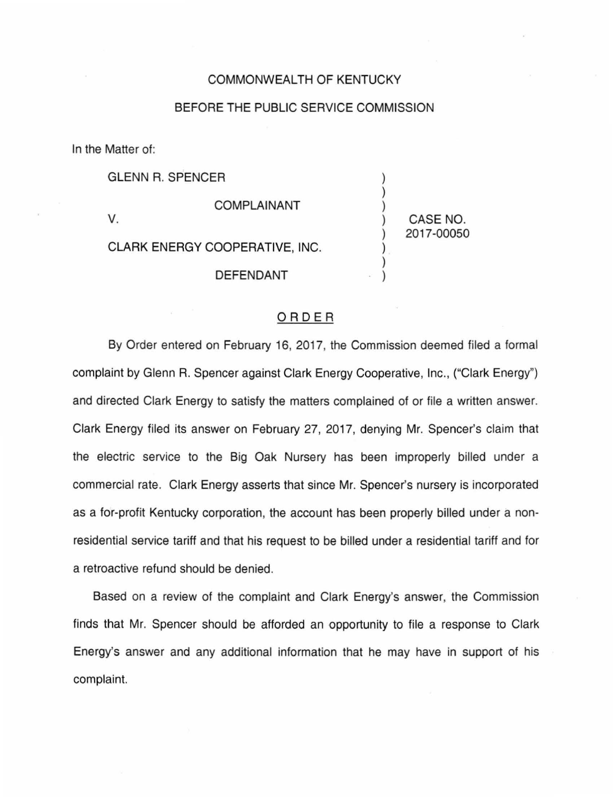## COMMONWEALTH OF KENTUCKY

## BEFORE THE PUBLIC SERVICE COMMISSION

) ) )

) ) )

) CASE NO. 2017-00050

In the Matter of:

GLENN R. SPENCER

v.

COMPLAINANT

CLARK ENERGY COOPERATIVE, INC.

DEFENDANT

## ORDER

By Order entered on February 16, 2017, the Commission deemed filed a formal complaint by Glenn R. Spencer against Clark Energy Cooperative, Inc., ("Clark Energy") and directed Clark Energy to satisfy the matters complained of or file a written answer. Clark Energy filed its answer on February 27, 2017, denying Mr. Spencer's claim that the electric service to the Big Oak Nursery has been improperly billed under a commercial rate. Clark Energy asserts that since Mr. Spencer's nursery is incorporated as a for-profit Kentucky corporation, the account has been properly billed under a nonresidential service tariff and that his request to be billed under a residential tariff and for a retroactive refund should be denied.

Based on a review of the complaint and Clark Energy's answer, the Commission finds that Mr. Spencer should be afforded an opportunity to file a response to Clark Energy's answer and any additional information that he may have in support of his complaint.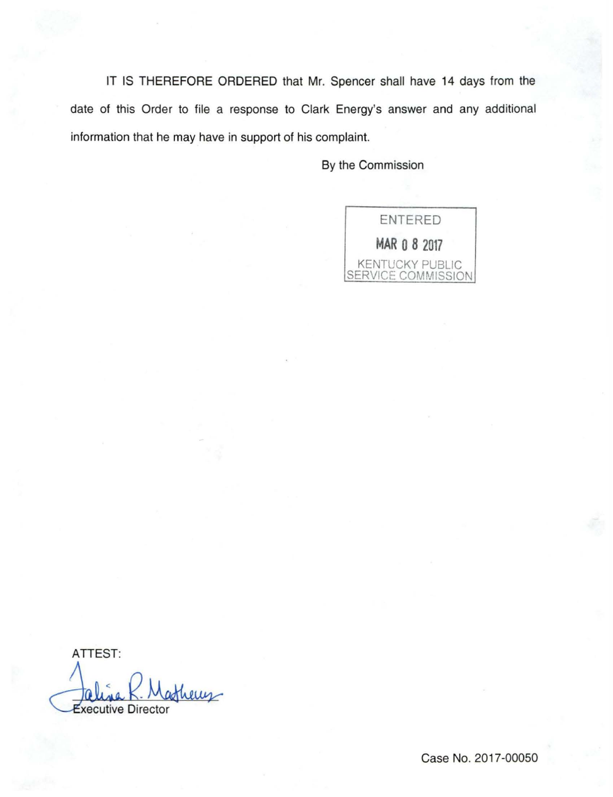IT IS THEREFORE ORDERED that Mr. Spencer shall have 14 days from the date of this Order to file a response to Clark Energy's answer and any additional information that he may have in support of his complaint.

By the Commission



ATTEST: Jaline K. Mathews

Case No. 2017-00050